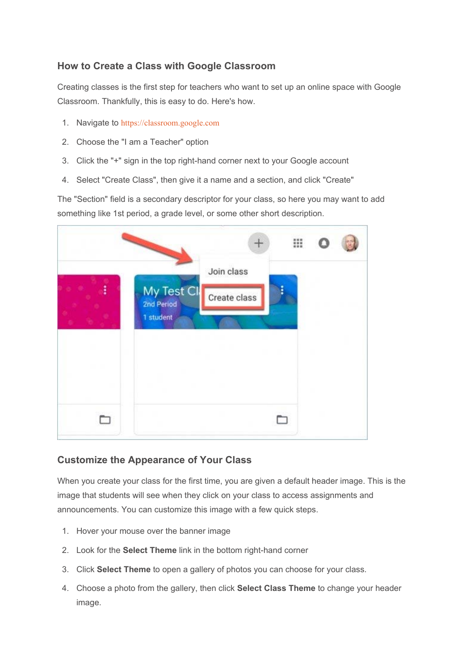### **How to Create a Class with Google Classroom**

Creating classes is the first step for teachers who want to set up an online space with Google Classroom. Thankfully, this is easy to do. Here's how.

- 1. Navigate to https://classroom.google.com
- 2. Choose the "I am a Teacher" option
- 3. Click the "+" sign in the top right-hand corner next to your Google account
- 4. Select "Create Class", then give it a name and a section, and click "Create"

The "Section" field is a secondary descriptor for your class, so here you may want to add something like 1st period, a grade level, or some other short description.

|                                       |                            | ₩ |  |
|---------------------------------------|----------------------------|---|--|
| My Test Cl<br>2nd Period<br>1 student | Join class<br>Create class |   |  |
|                                       |                            |   |  |

# **Customize the Appearance of Your Class**

When you create your class for the first time, you are given a default header image. This is the image that students will see when they click on your class to access assignments and announcements. You can customize this image with a few quick steps.

- 1. Hover your mouse over the banner image
- 2. Look for the **Select Theme** link in the bottom right-hand corner
- 3. Click **Select Theme** to open a gallery of photos you can choose for your class.
- 4. Choose a photo from the gallery, then click **Select Class Theme** to change your header image.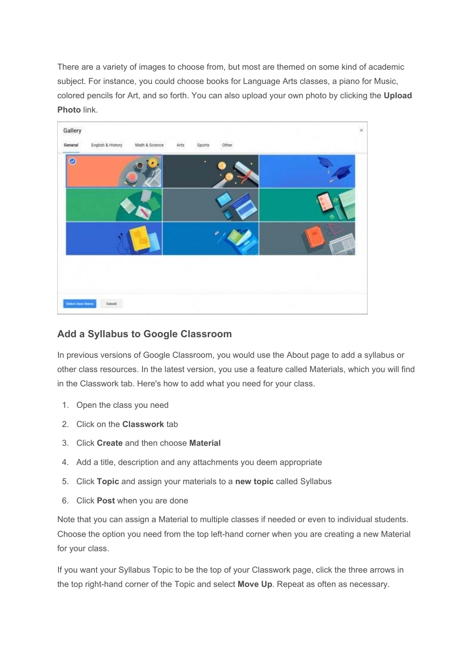There are a variety of images to choose from, but most are themed on some kind of academic subject. For instance, you could choose books for Language Arts classes, a piano for Music, colored pencils for Art, and so forth. You can also upload your own photo by clicking the **Upload Photo** link.



#### **Add a Syllabus to Google Classroom**

In previous versions of Google Classroom, you would use the About page to add a syllabus or other class resources. In the latest version, you use a feature called Materials, which you will find in the Classwork tab. Here's how to add what you need for your class.

- 1. Open the class you need
- 2. Click on the **Classwork** tab
- 3. Click **Create** and then choose **Material**
- 4. Add a title, description and any attachments you deem appropriate
- 5. Click **Topic** and assign your materials to a **new topic** called Syllabus
- 6. Click **Post** when you are done

Note that you can assign a Material to multiple classes if needed or even to individual students. Choose the option you need from the top left-hand corner when you are creating a new Material for your class.

If you want your Syllabus Topic to be the top of your Classwork page, click the three arrows in the top right-hand corner of the Topic and select **Move Up**. Repeat as often as necessary.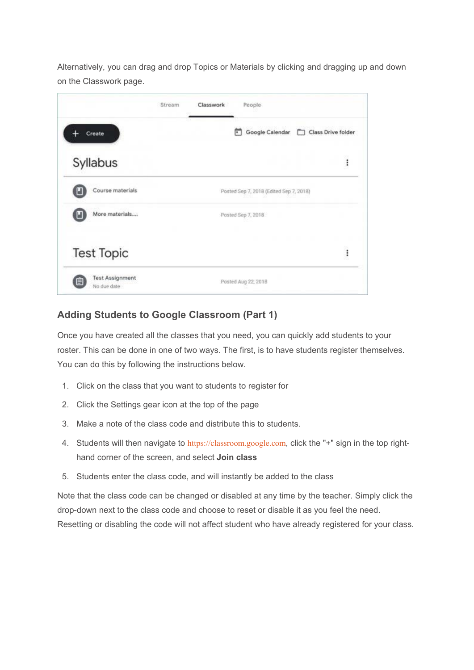Alternatively, you can drag and drop Topics or Materials by clicking and dragging up and down on the Classwork page.

|                                       | Classwork<br>People<br>Stream              |          |
|---------------------------------------|--------------------------------------------|----------|
| Create                                | Google Calendar<br>Class Drive folder<br>г |          |
| Syllabus                              |                                            | i        |
| Course materials                      | Posted Sep 7, 2018 (Edited Sep 7, 2018)    |          |
| More materials                        | Posted Sep 7, 2018                         |          |
| <b>Test Topic</b>                     |                                            | $\vdots$ |
| <b>Test Assignment</b><br>No due date | Posted Aug 22, 2018                        |          |

# **Adding Students to Google Classroom (Part 1)**

Once you have created all the classes that you need, you can quickly add students to your roster. This can be done in one of two ways. The first, is to have students register themselves. You can do this by following the instructions below.

- 1. Click on the class that you want to students to register for
- 2. Click the Settings gear icon at the top of the page
- 3. Make a note of the class code and distribute this to students.
- 4. Students will then navigate to https://classroom.google.com, click the "+" sign in the top righthand corner of the screen, and select **Join class**
- 5. Students enter the class code, and will instantly be added to the class

Note that the class code can be changed or disabled at any time by the teacher. Simply click the drop-down next to the class code and choose to reset or disable it as you feel the need. Resetting or disabling the code will not affect student who have already registered for your class.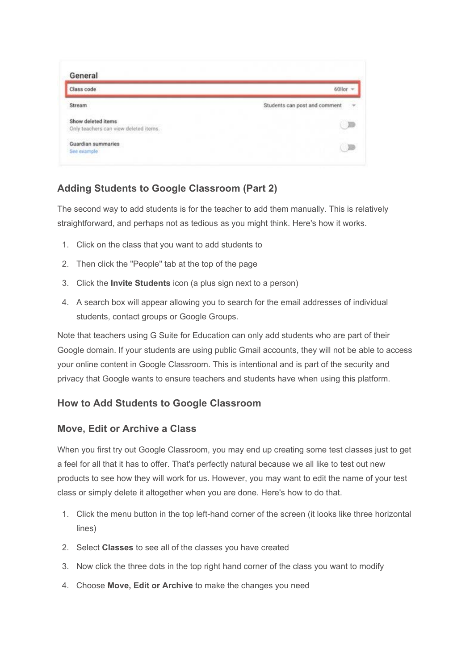| Class code                                                  | $60$ llor $-$                                  |
|-------------------------------------------------------------|------------------------------------------------|
| Stream                                                      | Students can post and comment<br>$\rightarrow$ |
| Show deleted items<br>Only teachers can view deleted items. |                                                |
| Guardian summaries                                          |                                                |

# **Adding Students to Google Classroom (Part 2)**

The second way to add students is for the teacher to add them manually. This is relatively straightforward, and perhaps not as tedious as you might think. Here's how it works.

- 1. Click on the class that you want to add students to
- 2. Then click the "People" tab at the top of the page
- 3. Click the **Invite Students** icon (a plus sign next to a person)
- 4. A search box will appear allowing you to search for the email addresses of individual students, contact groups or Google Groups.

Note that teachers using G Suite for Education can only add students who are part of their Google domain. If your students are using public Gmail accounts, they will not be able to access your online content in Google Classroom. This is intentional and is part of the security and privacy that Google wants to ensure teachers and students have when using this platform.

#### **How to Add Students to Google Classroom**

#### **Move, Edit or Archive a Class**

When you first try out Google Classroom, you may end up creating some test classes just to get a feel for all that it has to offer. That's perfectly natural because we all like to test out new products to see how they will work for us. However, you may want to edit the name of your test class or simply delete it altogether when you are done. Here's how to do that.

- 1. Click the menu button in the top left-hand corner of the screen (it looks like three horizontal lines)
- 2. Select **Classes** to see all of the classes you have created
- 3. Now click the three dots in the top right hand corner of the class you want to modify
- 4. Choose **Move, Edit or Archive** to make the changes you need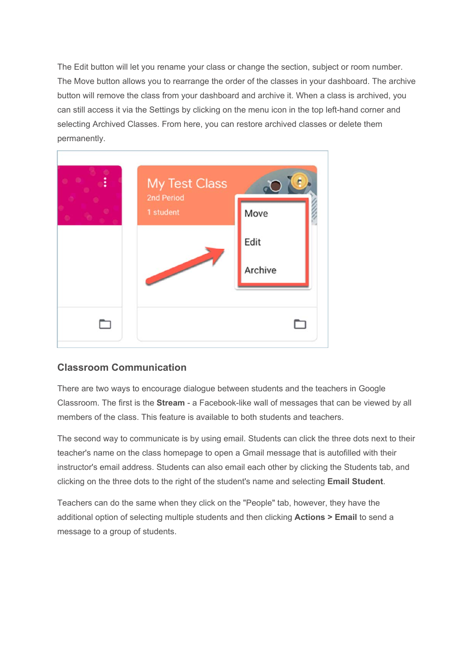The Edit button will let you rename your class or change the section, subject or room number. The Move button allows you to rearrange the order of the classes in your dashboard. The archive button will remove the class from your dashboard and archive it. When a class is archived, you can still access it via the Settings by clicking on the menu icon in the top left-hand corner and selecting Archived Classes. From here, you can restore archived classes or delete them permanently.



#### **Classroom Communication**

There are two ways to encourage dialogue between students and the teachers in Google Classroom. The first is the **Stream** - a Facebook-like wall of messages that can be viewed by all members of the class. This feature is available to both students and teachers.

The second way to communicate is by using email. Students can click the three dots next to their teacher's name on the class homepage to open a Gmail message that is autofilled with their instructor's email address. Students can also email each other by clicking the Students tab, and clicking on the three dots to the right of the student's name and selecting **Email Student**.

Teachers can do the same when they click on the "People" tab, however, they have the additional option of selecting multiple students and then clicking **Actions > Email** to send a message to a group of students.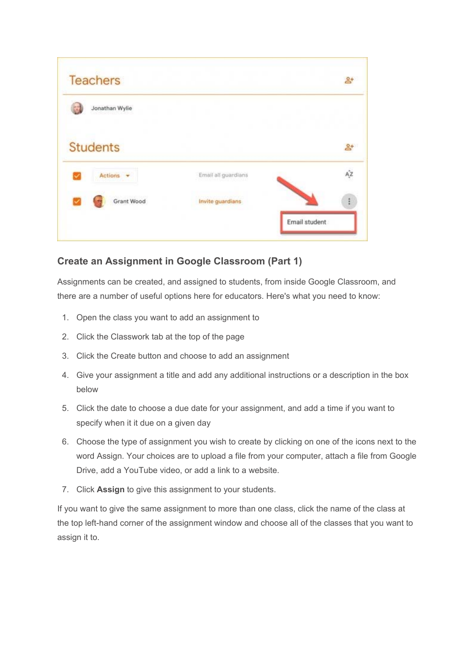| <b>Teachers</b> |                     | $\mathbf{B}^+$ |
|-----------------|---------------------|----------------|
| Jonathan Wylie  |                     |                |
| <b>Students</b> |                     | $\mathbb{R}^+$ |
| Actions         | Email all guardians | az             |
| Grant Wood      | Invite guardians    |                |
|                 |                     | Email student  |

# **Create an Assignment in Google Classroom (Part 1)**

Assignments can be created, and assigned to students, from inside Google Classroom, and there are a number of useful options here for educators. Here's what you need to know:

- 1. Open the class you want to add an assignment to
- 2. Click the Classwork tab at the top of the page
- 3. Click the Create button and choose to add an assignment
- 4. Give your assignment a title and add any additional instructions or a description in the box below
- 5. Click the date to choose a due date for your assignment, and add a time if you want to specify when it it due on a given day
- 6. Choose the type of assignment you wish to create by clicking on one of the icons next to the word Assign. Your choices are to upload a file from your computer, attach a file from Google Drive, add a YouTube video, or add a link to a website.
- 7. Click **Assign** to give this assignment to your students.

If you want to give the same assignment to more than one class, click the name of the class at the top left-hand corner of the assignment window and choose all of the classes that you want to assign it to.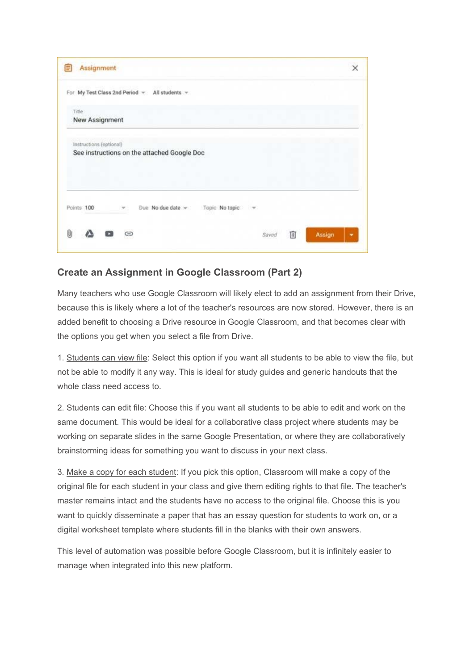

### **Create an Assignment in Google Classroom (Part 2)**

Many teachers who use Google Classroom will likely elect to add an assignment from their Drive, because this is likely where a lot of the teacher's resources are now stored. However, there is an added benefit to choosing a Drive resource in Google Classroom, and that becomes clear with the options you get when you select a file from Drive.

1. Students can view file: Select this option if you want all students to be able to view the file, but not be able to modify it any way. This is ideal for study guides and generic handouts that the whole class need access to.

2. Students can edit file: Choose this if you want all students to be able to edit and work on the same document. This would be ideal for a collaborative class project where students may be working on separate slides in the same Google Presentation, or where they are collaboratively brainstorming ideas for something you want to discuss in your next class.

3. Make a copy for each student: If you pick this option, Classroom will make a copy of the original file for each student in your class and give them editing rights to that file. The teacher's master remains intact and the students have no access to the original file. Choose this is you want to quickly disseminate a paper that has an essay question for students to work on, or a digital worksheet template where students fill in the blanks with their own answers.

This level of automation was possible before Google Classroom, but it is infinitely easier to manage when integrated into this new platform.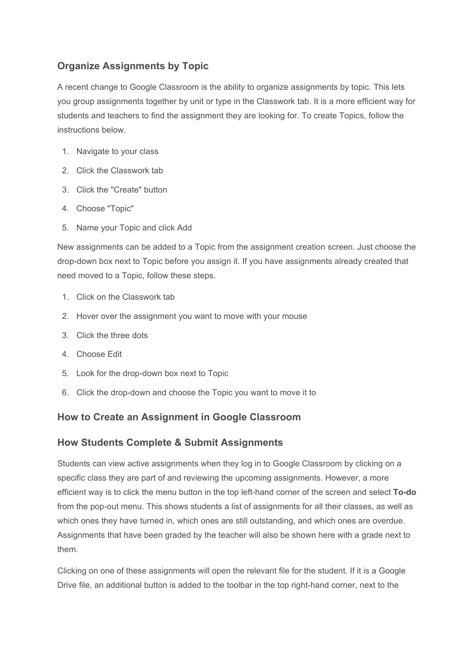# **Organize Assignments by Topic**

A recent change to Google Classroom is the ability to organize assignments by topic. This lets you group assignments together by unit or type in the Classwork tab. It is a more efficient way for students and teachers to find the assignment they are looking for. To create Topics, follow the instructions below.

- 1. Navigate to your class
- 2. Click the Classwork tab
- 3. Click the "Create" button
- 4. Choose "Topic"
- 5. Name your Topic and click Add

New assignments can be added to a Topic from the assignment creation screen. Just choose the drop-down box next to Topic before you assign it. If you have assignments already created that need moved to a Topic, follow these steps.

- 1. Click on the Classwork tab
- 2. Hover over the assignment you want to move with your mouse
- 3. Click the three dots
- 4. Choose Edit
- 5. Look for the drop-down box next to Topic
- 6. Click the drop-down and choose the Topic you want to move it to

#### **How to Create an Assignment in Google Classroom**

#### **How Students Complete & Submit Assignments**

Students can view active assignments when they log in to Google Classroom by clicking on a specific class they are part of and reviewing the upcoming assignments. However, a more efficient way is to click the menu button in the top left-hand corner of the screen and select **To-do** from the pop-out menu. This shows students a list of assignments for all their classes, as well as which ones they have turned in, which ones are still outstanding, and which ones are overdue. Assignments that have been graded by the teacher will also be shown here with a grade next to them.

Clicking on one of these assignments will open the relevant file for the student. If it is a Google Drive file, an additional button is added to the toolbar in the top right-hand corner, next to the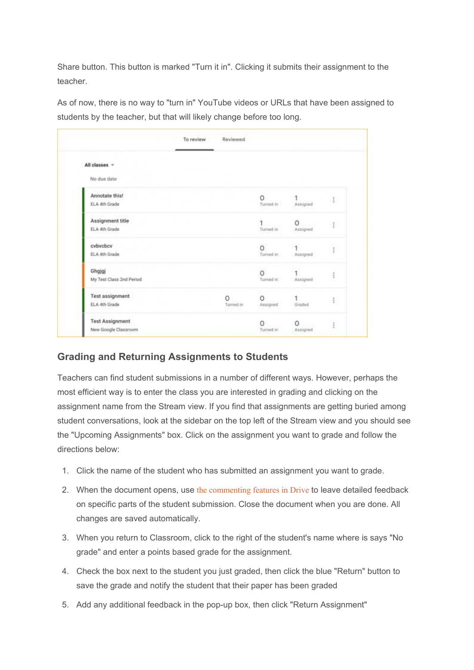Share button. This button is marked "Turn it in". Clicking it submits their assignment to the teacher.

As of now, there is no way to "turn in" YouTube videos or URLs that have been assigned to students by the teacher, but that will likely change before too long.

|                          | To review | Reviewed  |             |          |                   |
|--------------------------|-----------|-----------|-------------|----------|-------------------|
| All classes -            |           |           |             |          |                   |
| No due date              |           |           |             |          |                   |
| Annotate this!           |           |           | 0           |          | ŧ                 |
| ELA 4th Grade            |           |           | Turned in   | Assigned |                   |
| Assignment title         |           |           |             | 0        | $\ddot{.}$        |
| ELA 4th Grade            |           |           | Turned in   | Assigned |                   |
| cybychcy                 |           |           | $\circ$     |          | Ĩ                 |
| ELA 4th Grade            |           |           | Turned in 1 | Assigned |                   |
| Ghgjgj                   |           |           | $\circ$     |          | $\ddot{\ddot{z}}$ |
| My Test Class 2nd Period |           |           | Turned in   | Assigned |                   |
| <b>Test assignment</b>   |           | 0         | 0           |          | î                 |
| ELA 4th Grade            |           | Turned in | Assigned    | Graded   |                   |
| <b>Test Assignment</b>   |           |           | O           | 0        |                   |
| New Google Classroom     |           |           | Turned in   | Assigned | î                 |

# **Grading and Returning Assignments to Students**

Teachers can find student submissions in a number of different ways. However, perhaps the most efficient way is to enter the class you are interested in grading and clicking on the assignment name from the Stream view. If you find that assignments are getting buried among student conversations, look at the sidebar on the top left of the Stream view and you should see the "Upcoming Assignments" box. Click on the assignment you want to grade and follow the directions below:

- 1. Click the name of the student who has submitted an assignment you want to grade.
- 2. When the document opens, use the commenting features in Drive to leave detailed feedback on specific parts of the student submission. Close the document when you are done. All changes are saved automatically.
- 3. When you return to Classroom, click to the right of the student's name where is says "No grade" and enter a points based grade for the assignment.
- 4. Check the box next to the student you just graded, then click the blue "Return" button to save the grade and notify the student that their paper has been graded
- 5. Add any additional feedback in the pop-up box, then click "Return Assignment"